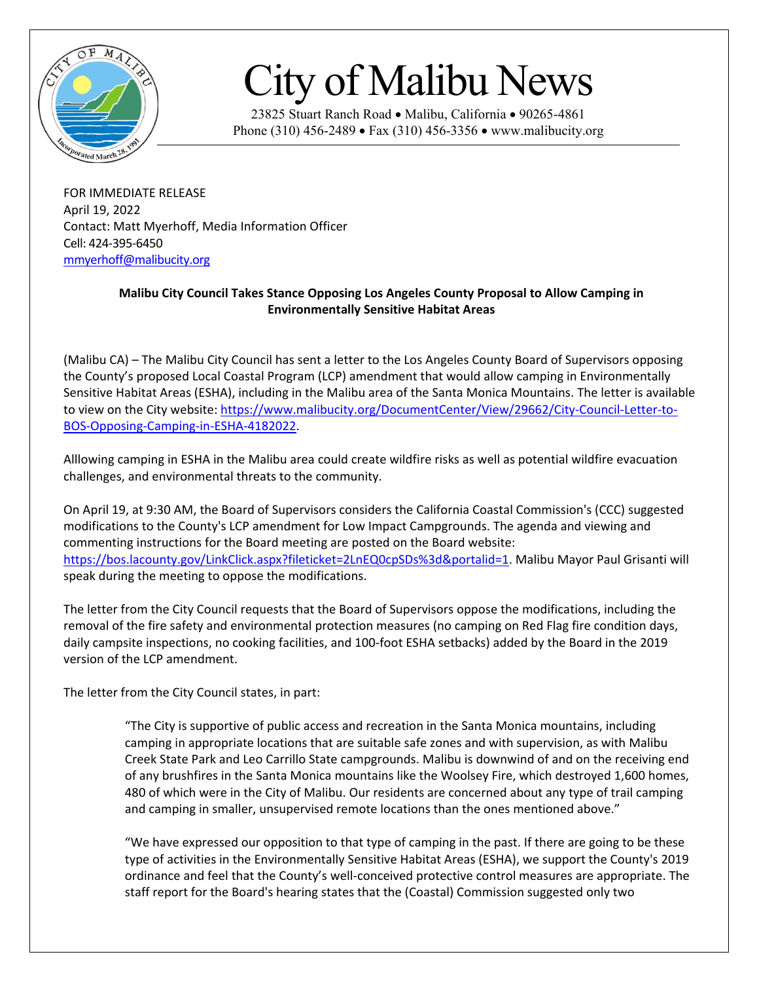

## City of Malibu News

23825 Stuart Ranch Road • Malibu, California • 90265-4861 Phone (310) 456-2489 • Fax (310) 456-3356 • www.malibucity.org

FOR IMMEDIATE RELEASE April 19, 2022 Contact: Matt Myerhoff, Media Information Officer Cell: 424-395-6450 [mmyerhoff@malibucity.org](mailto:mmyerhoff@malibucity.org)

## **Malibu City Council Takes Stance Opposing Los Angeles County Proposal to Allow Camping in Environmentally Sensitive Habitat Areas**

(Malibu CA) – The Malibu City Council has sent a letter to the Los Angeles County Board of Supervisors opposing the County's proposed Local Coastal Program (LCP) amendment that would allow camping in Environmentally Sensitive Habitat Areas (ESHA), including in the Malibu area of the Santa Monica Mountains. The letter is available to view on the City website: [https://www.malibucity.org/DocumentCenter/View/29662/City-Council-Letter-to-](https://www.malibucity.org/DocumentCenter/View/29662/City-Council-Letter-to-BOS-Opposing-Camping-in-ESHA-4182022)[BOS-Opposing-Camping-in-ESHA-4182022.](https://www.malibucity.org/DocumentCenter/View/29662/City-Council-Letter-to-BOS-Opposing-Camping-in-ESHA-4182022)

Alllowing camping in ESHA in the Malibu area could create wildfire risks as well as potential wildfire evacuation challenges, and environmental threats to the community.

On April 19, at 9:30 AM, the Board of Supervisors considers the California Coastal Commission's (CCC) suggested modifications to the County's LCP amendment for Low Impact Campgrounds. The agenda and viewing and commenting instructions for the Board meeting are posted on the Board website: [https://bos.lacounty.gov/LinkClick.aspx?fileticket=2LnEQ0cpSDs%3d&portalid=1.](https://bos.lacounty.gov/LinkClick.aspx?fileticket=2LnEQ0cpSDs%3d&portalid=1) Malibu Mayor Paul Grisanti will speak during the meeting to oppose the modifications.

The letter from the City Council requests that the Board of Supervisors oppose the modifications, including the removal of the fire safety and environmental protection measures (no camping on Red Flag fire condition days, daily campsite inspections, no cooking facilities, and 100-foot ESHA setbacks) added by the Board in the 2019 version of the LCP amendment.

The letter from the City Council states, in part:

"The City is supportive of public access and recreation in the Santa Monica mountains, including camping in appropriate locations that are suitable safe zones and with supervision, as with Malibu Creek State Park and Leo Carrillo State campgrounds. Malibu is downwind of and on the receiving end of any brushfires in the Santa Monica mountains like the Woolsey Fire, which destroyed 1,600 homes, 480 of which were in the City of Malibu. Our residents are concerned about any type of trail camping and camping in smaller, unsupervised remote locations than the ones mentioned above."

"We have expressed our opposition to that type of camping in the past. If there are going to be these type of activities in the Environmentally Sensitive Habitat Areas (ESHA), we support the County's 2019 ordinance and feel that the County's well-conceived protective control measures are appropriate. The staff report for the Board's hearing states that the (Coastal) Commission suggested only two